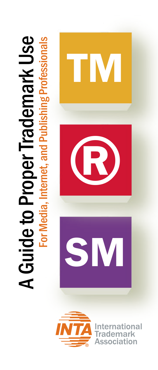# A Guide Proper Trademark I Trademark Use For Media, Interne t, and Publishing Professionals





**International** <del>.............</del>..<br>Trademark Association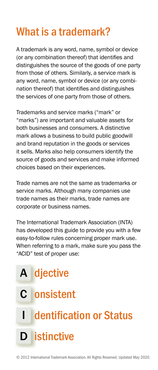## What is a trademark?

A trademark is any word, name, symbol or device (or any combination thereof) that identifies and distinguishes the source of the goods of one party from those of others. Similarly, a service mark is any word, name, symbol or device (or any combination thereof) that identifies and distinguishes the services of one party from those of others.

Trademarks and service marks ("mark" or "marks") are important and valuable assets for both businesses and consumers. A distinctive mark allows a business to build public goodwill and brand reputation in the goods or services it sells. Marks also help consumers identify the source of goods and services and make informed choices based on their experiences.

Trade names are not the same as trademarks or service marks. Although many companies use trade names as their marks, trade names are corporate or business names.

The International Trademark Association (INTA) has developed this guide to provide you with a few easy-to-follow rules concerning proper mark use. When referring to a mark, make sure you pass the "ACID" test of proper use:

© 2012 International Trademark Association. All Rights Reserved. Updated May 2020.

**I** dentification or Status

D istinctive

C onsistent

A djective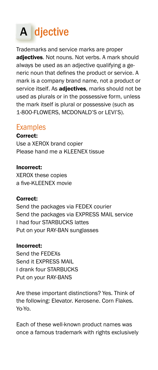# A djective

Trademarks and service marks are proper adjectives. Not nouns. Not verbs. A mark should always be used as an adjective qualifying a generic noun that defines the product or service. A mark is a company brand name, not a product or service itself. As adjectives, marks should not be used as plurals or in the possessive form, unless the mark itself is plural or possessive (such as 1-800-FLOWERS, MCDONALD'S or LEVI'S).

## **Examples**

Correct:

Use a XEROX brand copier Please hand me a KLEENEX tissue

#### Incorrect:

XEROX these copies a five-KLEENEX movie

### Correct:

Send the packages via FEDEX courier Send the packages via EXPRESS MAIL service I had four STARBUCKS lattes Put on your RAY-BAN sunglasses

#### Incorrect:

Send the FEDEXs Send it EXPRESS MAIL I drank four STARBUCKS Put on your RAY-BANS

Are these important distinctions? Yes. Think of the following: Elevator. Kerosene. Corn Flakes. Yo-Yo.

Each of these well-known product names was once a famous trademark with rights exclusively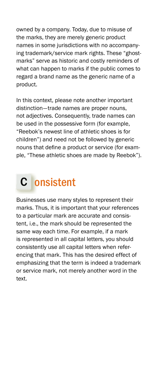owned by a company. Today, due to misuse of the marks, they are merely generic product names in some jurisdictions with no accompanying trademark/service mark rights. These "ghostmarks" serve as historic and costly reminders of what can happen to marks if the public comes to regard a brand name as the generic name of a product.

In this context, please note another important distinction—trade names are proper nouns, not adjectives. Consequently, trade names can be used in the possessive form (for example, "Reebok's newest line of athletic shoes is for children") and need not be followed by generic nouns that define a product or service (for example, "These athletic shoes are made by Reebok").

# C onsistent

Businesses use many styles to represent their marks. Thus, it is important that your references to a particular mark are accurate and consistent, i.e., the mark should be represented the same way each time. For example, if a mark is represented in all capital letters, you should consistently use all capital letters when referencing that mark. This has the desired effect of emphasizing that the term is indeed a trademark or service mark, not merely another word in the text.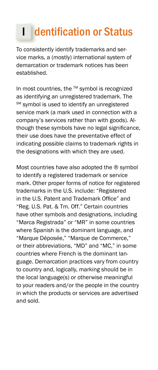## I dentification or Status

To consistently identify trademarks and service marks, a (mostly) international system of demarcation or trademark notices has been established.

In most countries, the ™ symbol is recognized as identifying an unregistered trademark. The SM symbol is used to identify an unregistered service mark (a mark used in connection with a company's services rather than with goods). Although these symbols have no legal significance, their use does have the preventative effect of indicating possible claims to trademark rights in the designations with which they are used.

Most countries have also adopted the ® symbol to identify a registered trademark or service mark. Other proper forms of notice for registered trademarks in the U.S. include: "Registered in the U.S. Patent and Trademark Office" and "Reg. U.S. Pat. & Tm. Off." Certain countries have other symbols and designations, including "Marca Registrada" or "MR" in some countries where Spanish is the dominant language, and "Marque Déposée," "Marque de Commerce," or their abbreviations, "MD" and "MC," in some countries where French is the dominant language. Demarcation practices vary from country to country and, logically, marking should be in the local language(s) or otherwise meaningful to your readers and/or the people in the country in which the products or services are advertised and sold.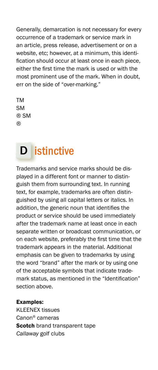Generally, demarcation is not necessary for every occurrence of a trademark or service mark in an article, press release, advertisement or on a website, etc; however, at a minimum, this identification should occur at least once in each piece, either the first time the mark is used or with the most prominent use of the mark. When in doubt, err on the side of "over-marking."

TM **SM** ® SM ®

## D istinctive

Trademarks and service marks should be displayed in a different font or manner to distinguish them from surrounding text. In running text, for example, trademarks are often distinguished by using all capital letters or italics. In addition, the generic noun that identifies the product or service should be used immediately after the trademark name at least once in each separate written or broadcast communication, or on each website, preferably the first time that the trademark appears in the material. Additional emphasis can be given to trademarks by using the word "brand" after the mark or by using one of the acceptable symbols that indicate trademark status, as mentioned in the "Identification" section above.

#### Examples:

KLEENEX tissues Canon® cameras Scotch brand transparent tape *Callaway* golf clubs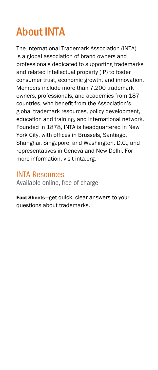## About INTA

The International Trademark Association (INTA) is a global association of brand owners and professionals dedicated to supporting trademarks and related intellectual property (IP) to foster consumer trust, economic growth, and innovation. Members include more than 7,200 trademark owners, professionals, and academics from 187 countries, who benefit from the Association's global trademark resources, policy development, education and training, and international network. Founded in 1878, INTA is headquartered in New York City, with offices in Brussels, Santiago, Shanghai, Singapore, and Washington, D.C., and representatives in Geneva and New Delhi. For more information, visit inta.org.

## INTA Resources Available online, free of charge

Fact Sheets-get quick, clear answers to your questions about trademarks.